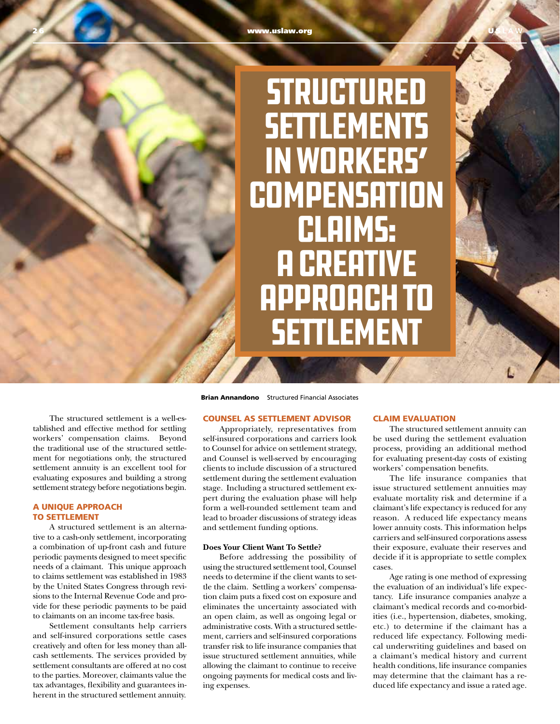# **STRUCTURED SETTLEMENTS** IN WORKERS' **COMPENSATION** CLAIMS: **A CREATIVE** APPROACH TO **SETTLEMENT**

The structured settlement is a well-established and effective method for settling workers' compensation claims. Beyond the traditional use of the structured settlement for negotiations only, the structured settlement annuity is an excellent tool for evaluating exposures and building a strong settlement strategy before negotiations begin.

## A UNIQUE APPROACH TO SETTLEMENT

A structured settlement is an alternative to a cash-only settlement, incorporating a combination of up-front cash and future periodic payments designed to meet specific needs of a claimant. This unique approach to claims settlement was established in 1983 by the United States Congress through revisions to the Internal Revenue Code and provide for these periodic payments to be paid to claimants on an income tax-free basis.

Settlement consultants help carriers and self-insured corporations settle cases creatively and often for less money than allcash settlements. The services provided by settlement consultants are offered at no cost to the parties. Moreover, claimants value the tax advantages, flexibility and guarantees inherent in the structured settlement annuity.

Brian Annandono Structured Financial Associates

## COUNSEL AS SETTLEMENT ADVISOR

Appropriately, representatives from self-insured corporations and carriers look to Counsel for advice on settlement strategy, and Counsel is well-served by encouraging clients to include discussion of a structured settlement during the settlement evaluation stage. Including a structured settlement expert during the evaluation phase will help form a well-rounded settlement team and lead to broader discussions of strategy ideas and settlement funding options.

#### **Does Your Client Want To Settle?**

Before addressing the possibility of using the structured settlement tool, Counsel needs to determine if the client wants to settle the claim. Settling a workers' compensation claim puts a fixed cost on exposure and eliminates the uncertainty associated with an open claim, as well as ongoing legal or administrative costs. With a structured settlement, carriers and self-insured corporations transfer risk to life insurance companies that issue structured settlement annuities, while allowing the claimant to continue to receive ongoing payments for medical costs and living expenses.

## CLAIM EVALUATION

The structured settlement annuity can be used during the settlement evaluation process, providing an additional method for evaluating present-day costs of existing workers' compensation benefits.

The life insurance companies that issue structured settlement annuities may evaluate mortality risk and determine if a claimant's life expectancy is reduced for any reason. A reduced life expectancy means lower annuity costs. This information helps carriers and self-insured corporations assess their exposure, evaluate their reserves and decide if it is appropriate to settle complex cases.

Age rating is one method of expressing the evaluation of an individual's life expectancy. Life insurance companies analyze a claimant's medical records and co-morbidities (i.e., hypertension, diabetes, smoking, etc.) to determine if the claimant has a reduced life expectancy. Following medical underwriting guidelines and based on a claimant's medical history and current health conditions, life insurance companies may determine that the claimant has a reduced life expectancy and issue a rated age.